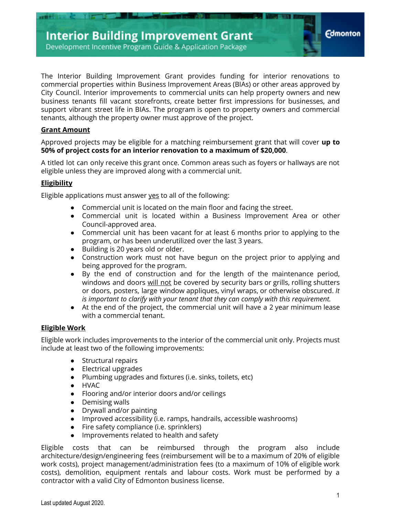The Interior Building Improvement Grant provides funding for interior renovations to commercial properties within Business Improvement Areas (BIAs) or other areas approved by City Council. Interior improvements to commercial units can help property owners and new business tenants fill vacant storefronts, create better first impressions for businesses, and support vibrant street life in BIAs. The program is open to property owners and commercial tenants, although the property owner must approve of the project.

### **Grant Amount**

Approved projects may be eligible for a matching reimbursement grant that will cover **up to 50% of project costs for an interior renovation to a maximum of \$20,000**.

A titled lot can only receive this grant once. Common areas such as foyers or hallways are not eligible unless they are improved along with a commercial unit.

### **Eligibility**

Eligible applications must answer yes to all of the following:

- Commercial unit is located on the main floor and facing the street.
- Commercial unit is located within a Business Improvement Area or other Council-approved area.
- Commercial unit has been vacant for at least 6 months prior to applying to the program, or has been underutilized over the last 3 years.
- Building is 20 years old or older.
- Construction work must not have begun on the project prior to applying and being approved for the program.
- By the end of construction and for the length of the maintenance period, windows and doors will not be covered by security bars or grills, rolling shutters or doors, posters, large window appliques, vinyl wraps, or otherwise obscured. *It is important to clarify with your tenant that they can comply with this requirement.*
- At the end of the project, the commercial unit will have a 2 year minimum lease with a commercial tenant.

### **Eligible Work**

Eligible work includes improvements to the interior of the commercial unit only. Projects must include at least two of the following improvements:

- Structural repairs
- Electrical upgrades
- Plumbing upgrades and fixtures (i.e. sinks, toilets, etc)
- HVAC
- Flooring and/or interior doors and/or ceilings
- Demising walls
- Drywall and/or painting
- Improved accessibility (i.e. ramps, handrails, accessible washrooms)
- Fire safety compliance (i.e. sprinklers)
- Improvements related to health and safety

Eligible costs that can be reimbursed through the program also include architecture/design/engineering fees (reimbursement will be to a maximum of 20% of eligible work costs), project management/administration fees (to a maximum of 10% of eligible work costs), demolition, equipment rentals and labour costs. Work must be performed by a contractor with a valid City of Edmonton business license.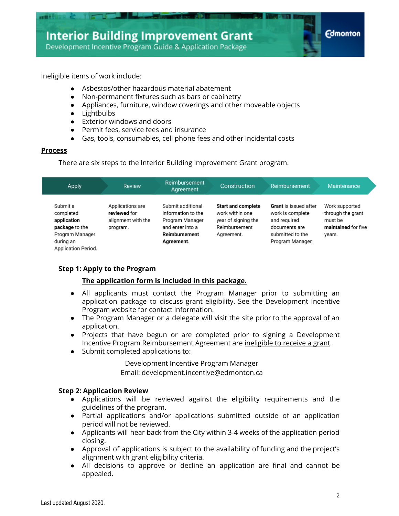**Edmonton** 

Development Incentive Program Guide & Application Package

Ineligible items of work include:

- Asbestos/other hazardous material abatement
- Non-permanent fixtures such as bars or cabinetry
- Appliances, furniture, window coverings and other moveable objects
- Lightbulbs
- Exterior windows and doors
- Permit fees, service fees and insurance
- Gas, tools, consumables, cell phone fees and other incidental costs

### **Process**

There are six steps to the Interior Building Improvement Grant program.

| <b>Apply</b>                                                                                                  | <b>Review</b>                                                      | Reimbursement<br>Agreement                                                                                    | Construction                                                                                       | Reimbursement                                                                                                             | Maintenance                                                                     |
|---------------------------------------------------------------------------------------------------------------|--------------------------------------------------------------------|---------------------------------------------------------------------------------------------------------------|----------------------------------------------------------------------------------------------------|---------------------------------------------------------------------------------------------------------------------------|---------------------------------------------------------------------------------|
| Submit a<br>completed<br>application<br>package to the<br>Program Manager<br>during an<br>Application Period. | Applications are<br>reviewed for<br>alignment with the<br>program. | Submit additional<br>information to the<br>Program Manager<br>and enter into a<br>Reimbursement<br>Agreement. | <b>Start and complete</b><br>work within one<br>year of signing the<br>Reimbursement<br>Agreement. | <b>Grant</b> is issued after<br>work is complete<br>and required<br>documents are<br>submitted to the<br>Program Manager. | Work supported<br>through the grant<br>must be<br>maintained for five<br>years. |

### **Step 1: Apply to the Program**

### **The application form is included in this package.**

- All applicants must contact the Program Manager prior to submitting an application package to discuss grant eligibility. See the Development Incentive Program website for contact information.
- The Program Manager or a delegate will visit the site prior to the approval of an application.
- Projects that have begun or are completed prior to signing a Development Incentive Program Reimbursement Agreement are ineligible to receive a grant.
- Submit completed applications to:

Development Incentive Program Manager Email: [development.incentive@edmonton.ca](mailto:development.incentive@edmonton.ca)

### **Step 2: Application Review**

- Applications will be reviewed against the eligibility requirements and the guidelines of the program.
- Partial applications and/or applications submitted outside of an application period will not be reviewed.
- Applicants will hear back from the City within 3-4 weeks of the application period closing.
- Approval of applications is subject to the availability of funding and the project's alignment with grant eligibility criteria.
- All decisions to approve or decline an application are final and cannot be appealed.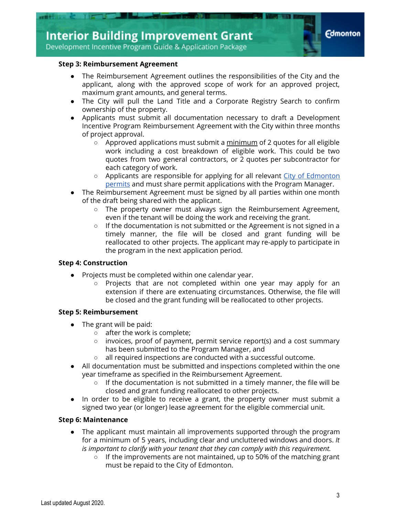

### **Step 3: Reimbursement Agreement**

- The Reimbursement Agreement outlines the responsibilities of the City and the applicant, along with the approved scope of work for an approved project, maximum grant amounts, and general terms.
- The City will pull the Land Title and a Corporate Registry Search to confirm ownership of the property.
- Applicants must submit all documentation necessary to draft a Development Incentive Program Reimbursement Agreement with the City within three months of project approval.
	- $\circ$  Approved applications must submit a minimum of 2 quotes for all eligible work including a cost breakdown of eligible work. This could be two quotes from two general contractors, or 2 quotes per subcontractor for each category of work.
	- Applicants are responsible for applying for all relevant [City of Edmonton](https://www.edmonton.ca/business_economy/licences_permits/types-of-permits.aspx) [permits](https://www.edmonton.ca/business_economy/licences_permits/types-of-permits.aspx) and must share permit applications with the Program Manager.
- The Reimbursement Agreement must be signed by all parties within one month of the draft being shared with the applicant.
	- The property owner must always sign the Reimbursement Agreement, even if the tenant will be doing the work and receiving the grant.
	- If the documentation is not submitted or the Agreement is not signed in a timely manner, the file will be closed and grant funding will be reallocated to other projects. The applicant may re-apply to participate in the program in the next application period.

### **Step 4: Construction**

- Projects must be completed within one calendar year.
	- Projects that are not completed within one year may apply for an extension if there are extenuating circumstances. Otherwise, the file will be closed and the grant funding will be reallocated to other projects.

### **Step 5: Reimbursement**

- The grant will be paid:
	- after the work is complete;
	- invoices, proof of payment, permit service report(s) and a cost summary has been submitted to the Program Manager, and
	- all required inspections are conducted with a successful outcome.
- All documentation must be submitted and inspections completed within the one year timeframe as specified in the Reimbursement Agreement.
	- $\circ$  If the documentation is not submitted in a timely manner, the file will be closed and grant funding reallocated to other projects.
- In order to be eligible to receive a grant, the property owner must submit a signed two year (or longer) lease agreement for the eligible commercial unit.

### **Step 6: Maintenance**

- The applicant must maintain all improvements supported through the program for a minimum of 5 years, including clear and uncluttered windows and doors. *It is important to clarify with your tenant that they can comply with this requirement.*
	- $\circ$  If the improvements are not maintained, up to 50% of the matching grant must be repaid to the City of Edmonton.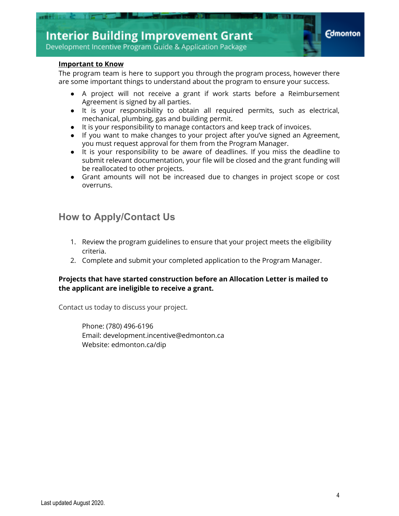

### **Important to Know**

The program team is here to support you through the program process, however there are some important things to understand about the program to ensure your success.

- A project will not receive a grant if work starts before a Reimbursement Agreement is signed by all parties.
- It is your responsibility to obtain all required permits, such as electrical, mechanical, plumbing, gas and building permit.
- It is your responsibility to manage contactors and keep track of invoices.
- If you want to make changes to your project after you've signed an Agreement, you must request approval for them from the Program Manager.
- It is your responsibility to be aware of deadlines. If you miss the deadline to submit relevant documentation, your file will be closed and the grant funding will be reallocated to other projects.
- Grant amounts will not be increased due to changes in project scope or cost overruns.

# **How to Apply/Contact Us**

- 1. Review the program guidelines to ensure that your project meets the eligibility criteria.
- 2. Complete and submit your completed application to the Program Manager.

### **Projects that have started construction before an Allocation Letter is mailed to the applicant are ineligible to receive a grant.**

Contact us today to discuss your project.

Phone: (780) 496-6196 Email: development.incentive@edmonton.ca Website: edmonton.ca/dip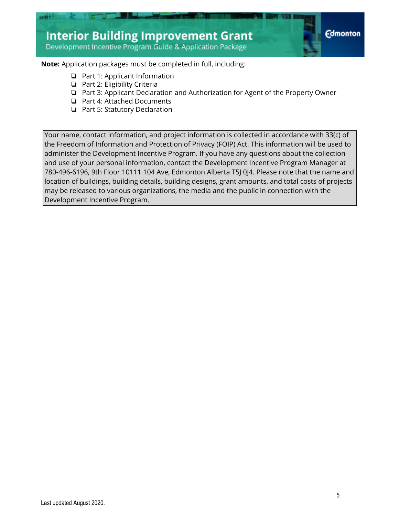

### **Note:** Application packages must be completed in full, including:

- ❏ Part 1: Applicant Information
- ❏ Part 2: Eligibility Criteria
- ❏ Part 3: Applicant Declaration and Authorization for Agent of the Property Owner
- ❏ Part 4: Attached Documents
- ❏ Part 5: Statutory Declaration

Your name, contact information, and project information is collected in accordance with 33(c) of the Freedom of Information and Protection of Privacy (FOIP) Act. This information will be used to administer the Development Incentive Program. If you have any questions about the collection and use of your personal information, contact the Development Incentive Program Manager at 780-496-6196, 9th Floor 10111 104 Ave, Edmonton Alberta T5J 0J4. Please note that the name and location of buildings, building details, building designs, grant amounts, and total costs of projects may be released to various organizations, the media and the public in connection with the Development Incentive Program.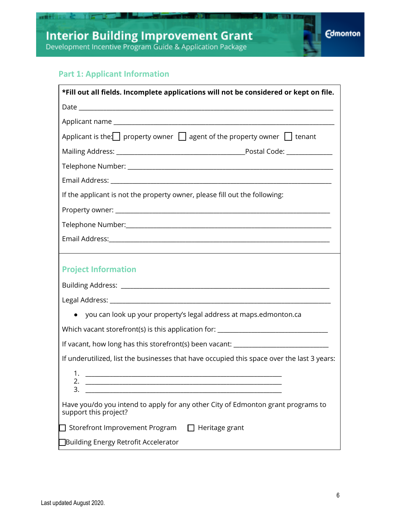# **Part 1: Applicant Information**

**CONTROLL** 

| *Fill out all fields. Incomplete applications will not be considered or kept on file.                                                  |  |  |  |  |
|----------------------------------------------------------------------------------------------------------------------------------------|--|--|--|--|
|                                                                                                                                        |  |  |  |  |
|                                                                                                                                        |  |  |  |  |
| Applicant is the: property owner $\Box$ agent of the property owner $\Box$ tenant                                                      |  |  |  |  |
|                                                                                                                                        |  |  |  |  |
|                                                                                                                                        |  |  |  |  |
|                                                                                                                                        |  |  |  |  |
| If the applicant is not the property owner, please fill out the following:                                                             |  |  |  |  |
|                                                                                                                                        |  |  |  |  |
|                                                                                                                                        |  |  |  |  |
|                                                                                                                                        |  |  |  |  |
|                                                                                                                                        |  |  |  |  |
| <b>Project Information</b>                                                                                                             |  |  |  |  |
|                                                                                                                                        |  |  |  |  |
|                                                                                                                                        |  |  |  |  |
| • you can look up your property's legal address at maps.edmonton.ca                                                                    |  |  |  |  |
| Which vacant storefront(s) is this application for: ____________________________                                                       |  |  |  |  |
| If vacant, how long has this storefront(s) been vacant: _________________________                                                      |  |  |  |  |
| If underutilized, list the businesses that have occupied this space over the last 3 years:                                             |  |  |  |  |
| 1.<br>2.<br><u> 1989 - Jan Barbara, manazarta maskazi da ya matsayin a masharida a shekara tsa a masharida a shekara tsa a m</u><br>3. |  |  |  |  |
| Have you/do you intend to apply for any other City of Edmonton grant programs to<br>support this project?                              |  |  |  |  |
| Storefront Improvement Program<br>$\Box$ Heritage grant                                                                                |  |  |  |  |
| □Building Energy Retrofit Accelerator                                                                                                  |  |  |  |  |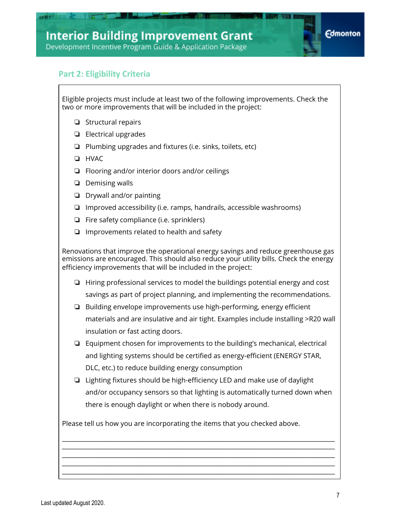# **Part 2: Eligibility Criteria**

Eligible projects must include at least two of the following improvements. Check the two or more improvements that will be included in the project:

- ❏ Structural repairs
- ❏ Electrical upgrades
- ❏ Plumbing upgrades and fixtures (i.e. sinks, toilets, etc)
- ❏ HVAC
- ❏ Flooring and/or interior doors and/or ceilings
- ❏ Demising walls
- ❏ Drywall and/or painting
- ❏ Improved accessibility (i.e. ramps, handrails, accessible washrooms)
- ❏ Fire safety compliance (i.e. sprinklers)
- ❏ Improvements related to health and safety

Renovations that improve the operational energy savings and reduce greenhouse gas emissions are encouraged. This should also reduce your utility bills. Check the energy efficiency improvements that will be included in the project:

- ❏ Hiring professional services to model the buildings potential energy and cost savings as part of project planning, and implementing the recommendations.
- ❏ Building envelope improvements use high-performing, energy efficient materials and are insulative and air tight. Examples include installing >R20 wall insulation or fast acting doors.
- ❏ Equipment chosen for improvements to the building's mechanical, electrical and lighting systems should be certified as energy-efficient (ENERGY STAR, DLC, etc.) to reduce building energy consumption
- ❏ Lighting fixtures should be high-efficiency LED and make use of daylight and/or occupancy sensors so that lighting is automatically turned down when there is enough daylight or when there is nobody around.

\_\_\_\_\_\_\_\_\_\_\_\_\_\_\_\_\_\_\_\_\_\_\_\_\_\_\_\_\_\_\_\_\_\_\_\_\_\_\_\_\_\_\_\_\_\_\_\_\_\_\_\_\_\_\_\_\_\_\_\_\_\_\_\_\_\_\_\_\_\_\_\_\_\_\_\_\_\_\_\_\_\_\_\_\_\_\_\_\_ \_\_\_\_\_\_\_\_\_\_\_\_\_\_\_\_\_\_\_\_\_\_\_\_\_\_\_\_\_\_\_\_\_\_\_\_\_\_\_\_\_\_\_\_\_\_\_\_\_\_\_\_\_\_\_\_\_\_\_\_\_\_\_\_\_\_\_\_\_\_\_\_\_\_\_\_\_\_\_\_\_\_\_\_\_\_\_\_\_ \_\_\_\_\_\_\_\_\_\_\_\_\_\_\_\_\_\_\_\_\_\_\_\_\_\_\_\_\_\_\_\_\_\_\_\_\_\_\_\_\_\_\_\_\_\_\_\_\_\_\_\_\_\_\_\_\_\_\_\_\_\_\_\_\_\_\_\_\_\_\_\_\_\_\_\_\_\_\_\_\_\_\_\_\_\_\_\_\_ \_\_\_\_\_\_\_\_\_\_\_\_\_\_\_\_\_\_\_\_\_\_\_\_\_\_\_\_\_\_\_\_\_\_\_\_\_\_\_\_\_\_\_\_\_\_\_\_\_\_\_\_\_\_\_\_\_\_\_\_\_\_\_\_\_\_\_\_\_\_\_\_\_\_\_\_\_\_\_\_\_\_\_\_\_\_\_\_\_ \_\_\_\_\_\_\_\_\_\_\_\_\_\_\_\_\_\_\_\_\_\_\_\_\_\_\_\_\_\_\_\_\_\_\_\_\_\_\_\_\_\_\_\_\_\_\_\_\_\_\_\_\_\_\_\_\_\_\_\_\_\_\_\_\_\_\_\_\_\_\_\_\_\_\_\_\_\_\_\_\_\_\_\_\_\_\_\_\_

Please tell us how you are incorporating the items that you checked above.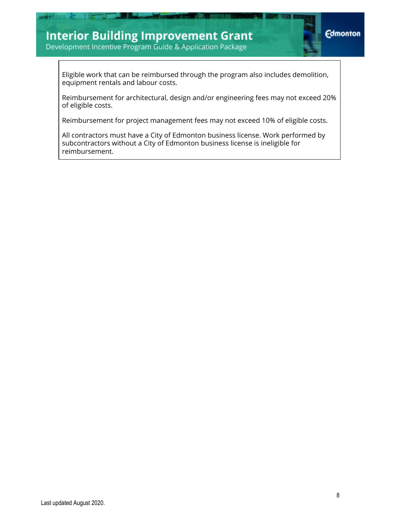# **Interior Building Improvement Grant**

■東野



Development Incentive Program Guide & Application Package

Eligible work that can be reimbursed through the program also includes demolition, equipment rentals and labour costs.

Reimbursement for architectural, design and/or engineering fees may not exceed 20% of eligible costs.

Reimbursement for project management fees may not exceed 10% of eligible costs.

All contractors must have a City of Edmonton business license. Work performed by subcontractors without a City of Edmonton business license is ineligible for reimbursement.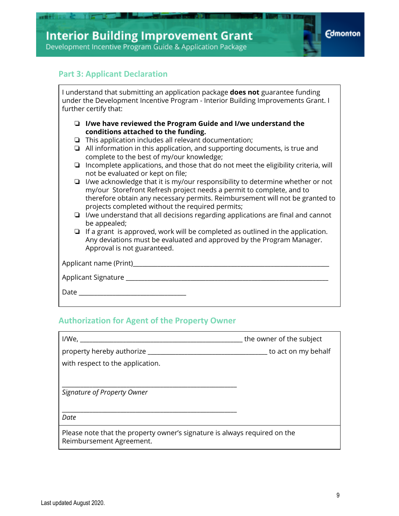



### **Part 3: Applicant Declaration**

I understand that submitting an application package **does not** guarantee funding under the Development Incentive Program - Interior Building Improvements Grant. I further certify that:

- ❏ **I/we have reviewed the Program Guide and I/we understand the conditions attached to the funding.**
- ❏ This application includes all relevant documentation;
- ❏ All information in this application, and supporting documents, is true and complete to the best of my/our knowledge;
- ❏ Incomplete applications, and those that do not meet the eligibility criteria, will not be evaluated or kept on file;
- ❏ I/we acknowledge that it is my/our responsibility to determine whether or not my/our Storefront Refresh project needs a permit to complete, and to therefore obtain any necessary permits. Reimbursement will not be granted to projects completed without the required permits;
- ❏ I/we understand that all decisions regarding applications are final and cannot be appealed;
- ❏ If a grant is approved, work will be completed as outlined in the application. Any deviations must be evaluated and approved by the Program Manager. Approval is not guaranteed.

| Applicant Signature |  |
|---------------------|--|
| Date                |  |

## **Authorization for Agent of the Property Owner**

| I/We,                                                                                                 | the owner of the subject |  |  |  |
|-------------------------------------------------------------------------------------------------------|--------------------------|--|--|--|
| property hereby authorize                                                                             | to act on my behalf      |  |  |  |
| with respect to the application.                                                                      |                          |  |  |  |
| Signature of Property Owner                                                                           |                          |  |  |  |
|                                                                                                       |                          |  |  |  |
| Date                                                                                                  |                          |  |  |  |
| Please note that the property owner's signature is always required on the<br>Reimbursement Agreement. |                          |  |  |  |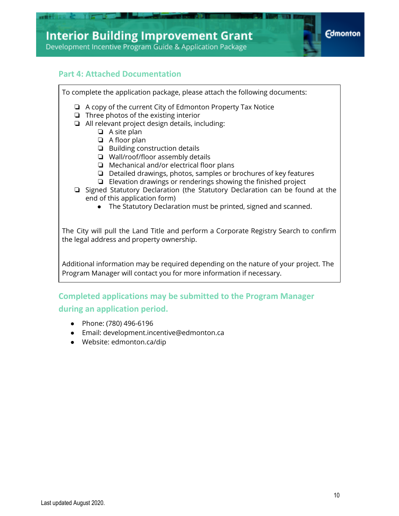

### **Part 4: Attached Documentation**

To complete the application package, please attach the following documents: ❏ A copy of the current City of Edmonton Property Tax Notice ❏ Three photos of the existing interior ❏ All relevant project design details, including: ❏ A site plan ❏ A floor plan ❏ Building construction details ❏ Wall/roof/floor assembly details ❏ Mechanical and/or electrical floor plans ❏ Detailed drawings, photos, samples or brochures of key features ❏ Elevation drawings or renderings showing the finished project ❏ Signed Statutory Declaration (the Statutory Declaration can be found at the end of this application form) ● The Statutory Declaration must be printed, signed and scanned. The City will pull the Land Title and perform a Corporate Registry Search to confirm the legal address and property ownership. Additional information may be required depending on the nature of your project. The Program Manager will contact you for more information if necessary. **Completed applications may be submitted to the Program Manager during an application period.**

- Phone: (780) 496-6196
- Email: development.incentive@edmonton.ca
- Website: edmonton.ca/dip